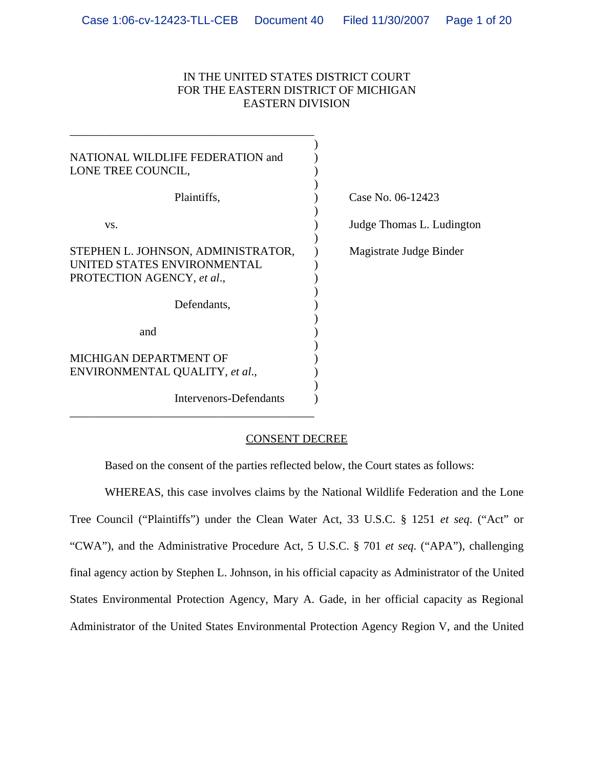## IN THE UNITED STATES DISTRICT COURT FOR THE EASTERN DISTRICT OF MICHIGAN EASTERN DIVISION

| NATIONAL WILDLIFE FEDERATION and<br>LONE TREE COUNCIL,                                          |                           |
|-------------------------------------------------------------------------------------------------|---------------------------|
| Plaintiffs,                                                                                     | Case No. 06-12423         |
| VS.                                                                                             | Judge Thomas L. Ludington |
| STEPHEN L. JOHNSON, ADMINISTRATOR,<br>UNITED STATES ENVIRONMENTAL<br>PROTECTION AGENCY, et al., | Magistrate Judge Binder   |
| Defendants,                                                                                     |                           |
| and                                                                                             |                           |
| MICHIGAN DEPARTMENT OF<br>ENVIRONMENTAL QUALITY, et al.,                                        |                           |
| <b>Intervenors-Defendants</b>                                                                   |                           |

\_\_\_\_\_\_\_\_\_\_\_\_\_\_\_\_\_\_\_\_\_\_\_\_\_\_\_\_\_\_\_\_\_\_\_\_\_\_\_\_\_\_

## CONSENT DECREE

Based on the consent of the parties reflected below, the Court states as follows:

WHEREAS, this case involves claims by the National Wildlife Federation and the Lone Tree Council ("Plaintiffs") under the Clean Water Act, 33 U.S.C. § 1251 *et seq*. ("Act" or "CWA"), and the Administrative Procedure Act, 5 U.S.C. § 701 *et seq*. ("APA"), challenging final agency action by Stephen L. Johnson, in his official capacity as Administrator of the United States Environmental Protection Agency, Mary A. Gade, in her official capacity as Regional Administrator of the United States Environmental Protection Agency Region V, and the United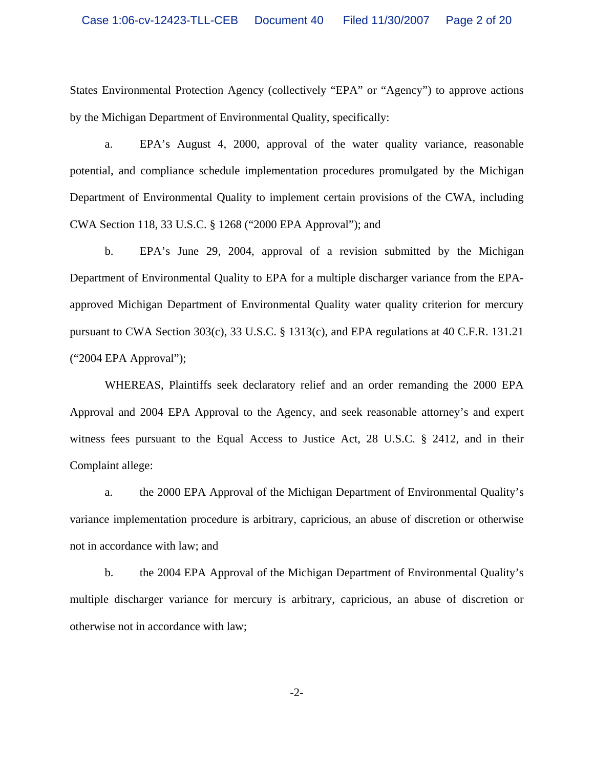States Environmental Protection Agency (collectively "EPA" or "Agency") to approve actions by the Michigan Department of Environmental Quality, specifically:

a. EPA's August 4, 2000, approval of the water quality variance, reasonable potential, and compliance schedule implementation procedures promulgated by the Michigan Department of Environmental Quality to implement certain provisions of the CWA, including CWA Section 118, 33 U.S.C. § 1268 ("2000 EPA Approval"); and

b. EPA's June 29, 2004, approval of a revision submitted by the Michigan Department of Environmental Quality to EPA for a multiple discharger variance from the EPAapproved Michigan Department of Environmental Quality water quality criterion for mercury pursuant to CWA Section 303(c), 33 U.S.C. § 1313(c), and EPA regulations at 40 C.F.R. 131.21 ("2004 EPA Approval");

WHEREAS, Plaintiffs seek declaratory relief and an order remanding the 2000 EPA Approval and 2004 EPA Approval to the Agency, and seek reasonable attorney's and expert witness fees pursuant to the Equal Access to Justice Act, 28 U.S.C. § 2412, and in their Complaint allege:

a. the 2000 EPA Approval of the Michigan Department of Environmental Quality's variance implementation procedure is arbitrary, capricious, an abuse of discretion or otherwise not in accordance with law; and

b. the 2004 EPA Approval of the Michigan Department of Environmental Quality's multiple discharger variance for mercury is arbitrary, capricious, an abuse of discretion or otherwise not in accordance with law;

-2-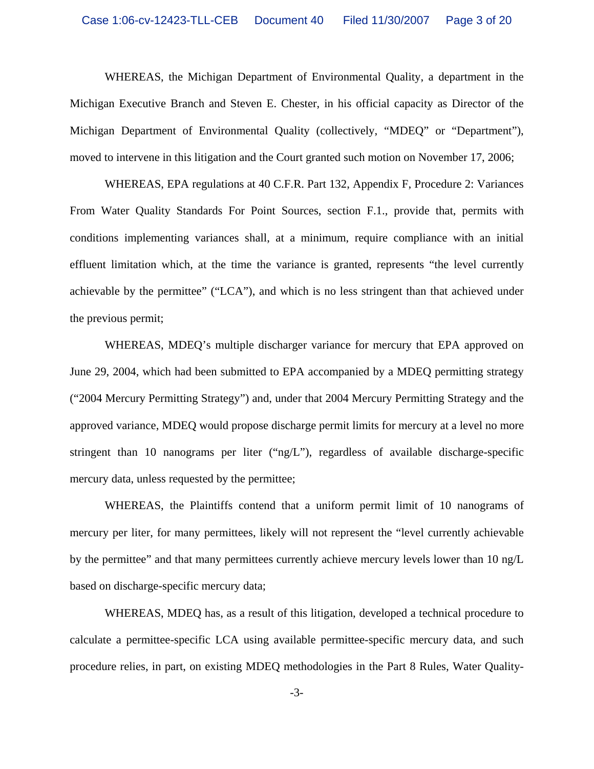WHEREAS, the Michigan Department of Environmental Quality, a department in the Michigan Executive Branch and Steven E. Chester, in his official capacity as Director of the Michigan Department of Environmental Quality (collectively, "MDEQ" or "Department"), moved to intervene in this litigation and the Court granted such motion on November 17, 2006;

WHEREAS, EPA regulations at 40 C.F.R. Part 132, Appendix F, Procedure 2: Variances From Water Quality Standards For Point Sources, section F.1., provide that, permits with conditions implementing variances shall, at a minimum, require compliance with an initial effluent limitation which, at the time the variance is granted, represents "the level currently achievable by the permittee" ("LCA"), and which is no less stringent than that achieved under the previous permit;

WHEREAS, MDEQ's multiple discharger variance for mercury that EPA approved on June 29, 2004, which had been submitted to EPA accompanied by a MDEQ permitting strategy ("2004 Mercury Permitting Strategy") and, under that 2004 Mercury Permitting Strategy and the approved variance, MDEQ would propose discharge permit limits for mercury at a level no more stringent than 10 nanograms per liter ("ng/L"), regardless of available discharge-specific mercury data, unless requested by the permittee;

WHEREAS, the Plaintiffs contend that a uniform permit limit of 10 nanograms of mercury per liter, for many permittees, likely will not represent the "level currently achievable by the permittee" and that many permittees currently achieve mercury levels lower than 10 ng/L based on discharge-specific mercury data;

WHEREAS, MDEQ has, as a result of this litigation, developed a technical procedure to calculate a permittee-specific LCA using available permittee-specific mercury data, and such procedure relies, in part, on existing MDEQ methodologies in the Part 8 Rules, Water Quality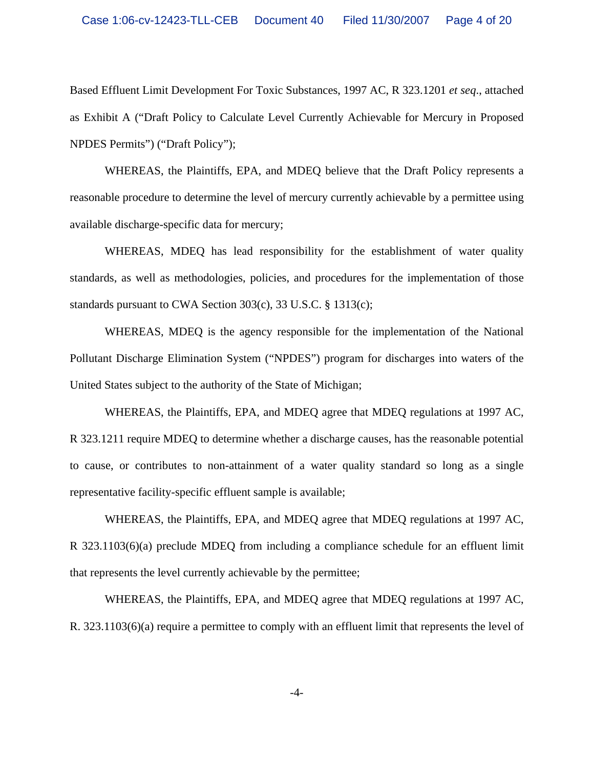Based Effluent Limit Development For Toxic Substances, 1997 AC, R 323.1201 *et seq*., attached as Exhibit A ("Draft Policy to Calculate Level Currently Achievable for Mercury in Proposed NPDES Permits") ("Draft Policy");

WHEREAS, the Plaintiffs, EPA, and MDEQ believe that the Draft Policy represents a reasonable procedure to determine the level of mercury currently achievable by a permittee using available discharge-specific data for mercury;

WHEREAS, MDEQ has lead responsibility for the establishment of water quality standards, as well as methodologies, policies, and procedures for the implementation of those standards pursuant to CWA Section 303(c), 33 U.S.C. § 1313(c);

WHEREAS, MDEQ is the agency responsible for the implementation of the National Pollutant Discharge Elimination System ("NPDES") program for discharges into waters of the United States subject to the authority of the State of Michigan;

WHEREAS, the Plaintiffs, EPA, and MDEQ agree that MDEQ regulations at 1997 AC, R 323.1211 require MDEQ to determine whether a discharge causes, has the reasonable potential to cause, or contributes to non-attainment of a water quality standard so long as a single representative facility-specific effluent sample is available;

WHEREAS, the Plaintiffs, EPA, and MDEQ agree that MDEQ regulations at 1997 AC, R 323.1103(6)(a) preclude MDEQ from including a compliance schedule for an effluent limit that represents the level currently achievable by the permittee;

WHEREAS, the Plaintiffs, EPA, and MDEQ agree that MDEQ regulations at 1997 AC, R. 323.1103(6)(a) require a permittee to comply with an effluent limit that represents the level of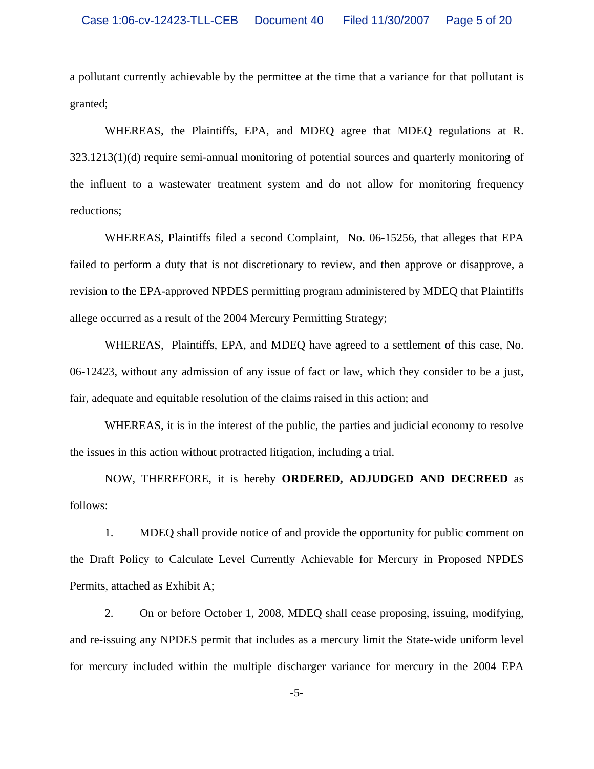a pollutant currently achievable by the permittee at the time that a variance for that pollutant is granted;

WHEREAS, the Plaintiffs, EPA, and MDEQ agree that MDEQ regulations at R. 323.1213(1)(d) require semi-annual monitoring of potential sources and quarterly monitoring of the influent to a wastewater treatment system and do not allow for monitoring frequency reductions;

WHEREAS, Plaintiffs filed a second Complaint, No. 06-15256, that alleges that EPA failed to perform a duty that is not discretionary to review, and then approve or disapprove, a revision to the EPA-approved NPDES permitting program administered by MDEQ that Plaintiffs allege occurred as a result of the 2004 Mercury Permitting Strategy;

WHEREAS, Plaintiffs, EPA, and MDEQ have agreed to a settlement of this case, No. 06-12423, without any admission of any issue of fact or law, which they consider to be a just, fair, adequate and equitable resolution of the claims raised in this action; and

WHEREAS, it is in the interest of the public, the parties and judicial economy to resolve the issues in this action without protracted litigation, including a trial.

NOW, THEREFORE, it is hereby **ORDERED, ADJUDGED AND DECREED** as follows:

1. MDEQ shall provide notice of and provide the opportunity for public comment on the Draft Policy to Calculate Level Currently Achievable for Mercury in Proposed NPDES Permits, attached as Exhibit A;

2. On or before October 1, 2008, MDEQ shall cease proposing, issuing, modifying, and re-issuing any NPDES permit that includes as a mercury limit the State-wide uniform level for mercury included within the multiple discharger variance for mercury in the 2004 EPA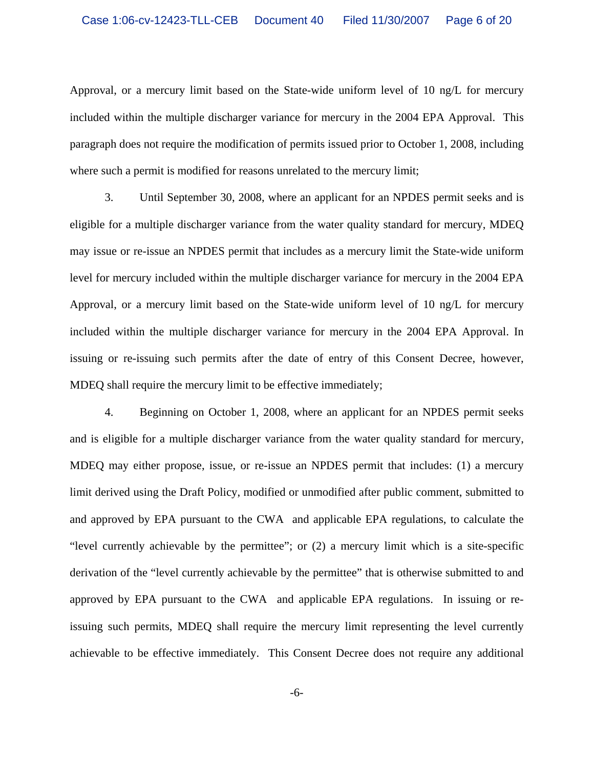Approval, or a mercury limit based on the State-wide uniform level of 10 ng/L for mercury included within the multiple discharger variance for mercury in the 2004 EPA Approval. This paragraph does not require the modification of permits issued prior to October 1, 2008, including where such a permit is modified for reasons unrelated to the mercury limit;

3. Until September 30, 2008, where an applicant for an NPDES permit seeks and is eligible for a multiple discharger variance from the water quality standard for mercury, MDEQ may issue or re-issue an NPDES permit that includes as a mercury limit the State-wide uniform level for mercury included within the multiple discharger variance for mercury in the 2004 EPA Approval, or a mercury limit based on the State-wide uniform level of 10 ng/L for mercury included within the multiple discharger variance for mercury in the 2004 EPA Approval. In issuing or re-issuing such permits after the date of entry of this Consent Decree, however, MDEQ shall require the mercury limit to be effective immediately;

4. Beginning on October 1, 2008, where an applicant for an NPDES permit seeks and is eligible for a multiple discharger variance from the water quality standard for mercury, MDEQ may either propose, issue, or re-issue an NPDES permit that includes: (1) a mercury limit derived using the Draft Policy, modified or unmodified after public comment, submitted to and approved by EPA pursuant to the CWA and applicable EPA regulations, to calculate the "level currently achievable by the permittee"; or (2) a mercury limit which is a site-specific derivation of the "level currently achievable by the permittee" that is otherwise submitted to and approved by EPA pursuant to the CWA and applicable EPA regulations. In issuing or reissuing such permits, MDEQ shall require the mercury limit representing the level currently achievable to be effective immediately. This Consent Decree does not require any additional

-6-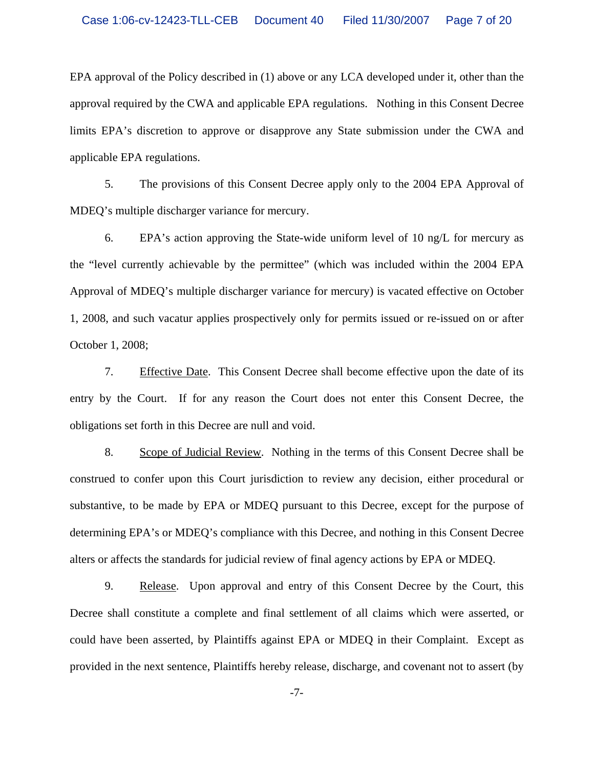EPA approval of the Policy described in (1) above or any LCA developed under it, other than the approval required by the CWA and applicable EPA regulations. Nothing in this Consent Decree limits EPA's discretion to approve or disapprove any State submission under the CWA and applicable EPA regulations.

5. The provisions of this Consent Decree apply only to the 2004 EPA Approval of MDEQ's multiple discharger variance for mercury.

6. EPA's action approving the State-wide uniform level of 10 ng/L for mercury as the "level currently achievable by the permittee" (which was included within the 2004 EPA Approval of MDEQ's multiple discharger variance for mercury) is vacated effective on October 1, 2008, and such vacatur applies prospectively only for permits issued or re-issued on or after October 1, 2008;

7. Effective Date. This Consent Decree shall become effective upon the date of its entry by the Court. If for any reason the Court does not enter this Consent Decree, the obligations set forth in this Decree are null and void.

8. Scope of Judicial Review. Nothing in the terms of this Consent Decree shall be construed to confer upon this Court jurisdiction to review any decision, either procedural or substantive, to be made by EPA or MDEQ pursuant to this Decree, except for the purpose of determining EPA's or MDEQ's compliance with this Decree, and nothing in this Consent Decree alters or affects the standards for judicial review of final agency actions by EPA or MDEQ.

9. Release. Upon approval and entry of this Consent Decree by the Court, this Decree shall constitute a complete and final settlement of all claims which were asserted, or could have been asserted, by Plaintiffs against EPA or MDEQ in their Complaint. Except as provided in the next sentence, Plaintiffs hereby release, discharge, and covenant not to assert (by

-7-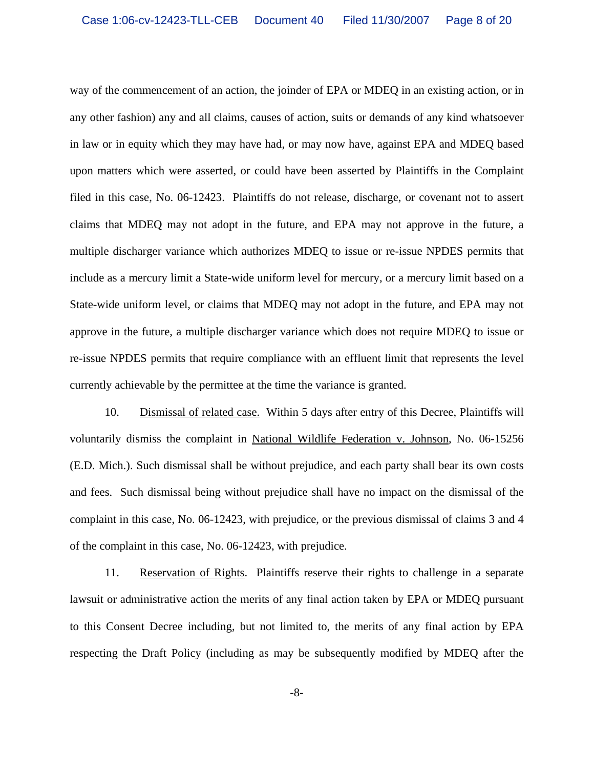way of the commencement of an action, the joinder of EPA or MDEQ in an existing action, or in any other fashion) any and all claims, causes of action, suits or demands of any kind whatsoever in law or in equity which they may have had, or may now have, against EPA and MDEQ based upon matters which were asserted, or could have been asserted by Plaintiffs in the Complaint filed in this case, No. 06-12423. Plaintiffs do not release, discharge, or covenant not to assert claims that MDEQ may not adopt in the future, and EPA may not approve in the future, a multiple discharger variance which authorizes MDEQ to issue or re-issue NPDES permits that include as a mercury limit a State-wide uniform level for mercury, or a mercury limit based on a State-wide uniform level, or claims that MDEQ may not adopt in the future, and EPA may not approve in the future, a multiple discharger variance which does not require MDEQ to issue or re-issue NPDES permits that require compliance with an effluent limit that represents the level currently achievable by the permittee at the time the variance is granted.

10. Dismissal of related case. Within 5 days after entry of this Decree, Plaintiffs will voluntarily dismiss the complaint in National Wildlife Federation v. Johnson, No. 06-15256 (E.D. Mich.). Such dismissal shall be without prejudice, and each party shall bear its own costs and fees. Such dismissal being without prejudice shall have no impact on the dismissal of the complaint in this case, No. 06-12423, with prejudice, or the previous dismissal of claims 3 and 4 of the complaint in this case, No. 06-12423, with prejudice.

11. Reservation of Rights. Plaintiffs reserve their rights to challenge in a separate lawsuit or administrative action the merits of any final action taken by EPA or MDEQ pursuant to this Consent Decree including, but not limited to, the merits of any final action by EPA respecting the Draft Policy (including as may be subsequently modified by MDEQ after the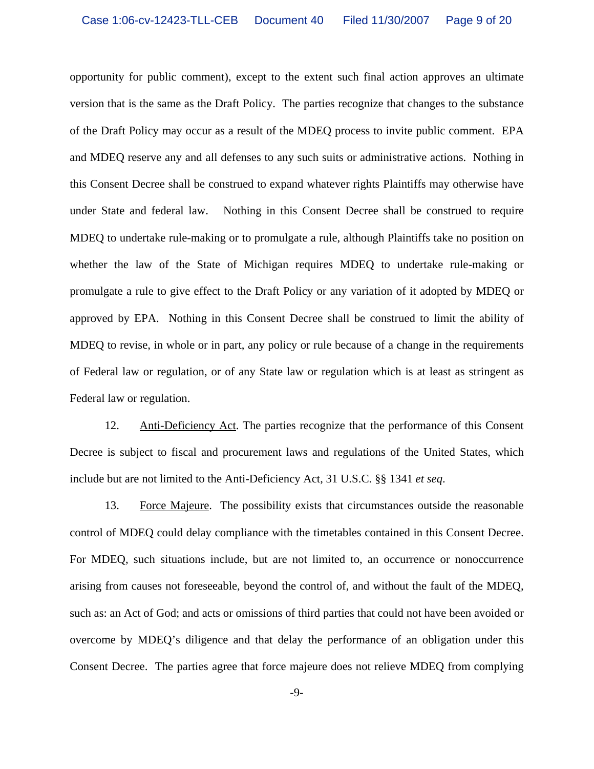opportunity for public comment), except to the extent such final action approves an ultimate version that is the same as the Draft Policy. The parties recognize that changes to the substance of the Draft Policy may occur as a result of the MDEQ process to invite public comment. EPA and MDEQ reserve any and all defenses to any such suits or administrative actions. Nothing in this Consent Decree shall be construed to expand whatever rights Plaintiffs may otherwise have under State and federal law. Nothing in this Consent Decree shall be construed to require MDEQ to undertake rule-making or to promulgate a rule, although Plaintiffs take no position on whether the law of the State of Michigan requires MDEQ to undertake rule-making or promulgate a rule to give effect to the Draft Policy or any variation of it adopted by MDEQ or approved by EPA. Nothing in this Consent Decree shall be construed to limit the ability of MDEQ to revise, in whole or in part, any policy or rule because of a change in the requirements of Federal law or regulation, or of any State law or regulation which is at least as stringent as Federal law or regulation.

12. Anti-Deficiency Act. The parties recognize that the performance of this Consent Decree is subject to fiscal and procurement laws and regulations of the United States, which include but are not limited to the Anti-Deficiency Act, 31 U.S.C. §§ 1341 *et seq*.

13. Force Majeure. The possibility exists that circumstances outside the reasonable control of MDEQ could delay compliance with the timetables contained in this Consent Decree. For MDEQ, such situations include, but are not limited to, an occurrence or nonoccurrence arising from causes not foreseeable, beyond the control of, and without the fault of the MDEQ, such as: an Act of God; and acts or omissions of third parties that could not have been avoided or overcome by MDEQ's diligence and that delay the performance of an obligation under this Consent Decree. The parties agree that force majeure does not relieve MDEQ from complying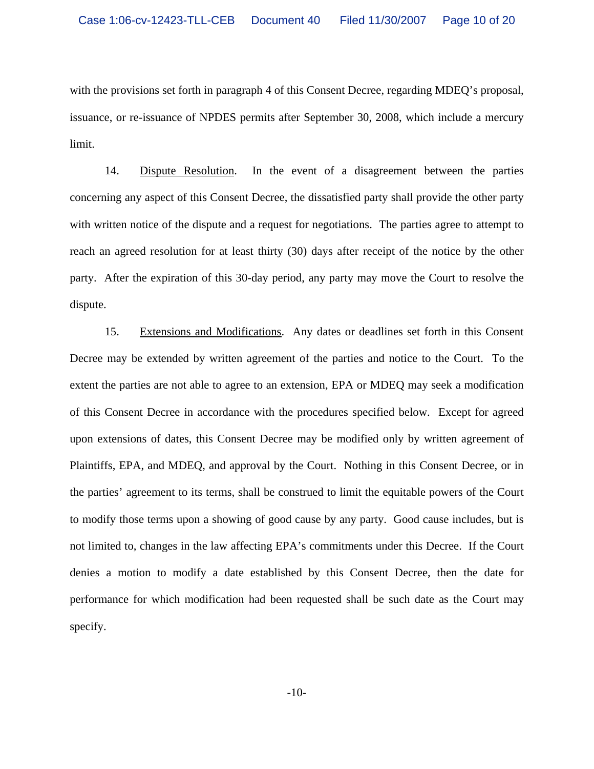with the provisions set forth in paragraph 4 of this Consent Decree, regarding MDEQ's proposal, issuance, or re-issuance of NPDES permits after September 30, 2008, which include a mercury limit.

14. Dispute Resolution. In the event of a disagreement between the parties concerning any aspect of this Consent Decree, the dissatisfied party shall provide the other party with written notice of the dispute and a request for negotiations. The parties agree to attempt to reach an agreed resolution for at least thirty (30) days after receipt of the notice by the other party. After the expiration of this 30-day period, any party may move the Court to resolve the dispute.

15. Extensions and Modifications. Any dates or deadlines set forth in this Consent Decree may be extended by written agreement of the parties and notice to the Court. To the extent the parties are not able to agree to an extension, EPA or MDEQ may seek a modification of this Consent Decree in accordance with the procedures specified below. Except for agreed upon extensions of dates, this Consent Decree may be modified only by written agreement of Plaintiffs, EPA, and MDEQ, and approval by the Court. Nothing in this Consent Decree, or in the parties' agreement to its terms, shall be construed to limit the equitable powers of the Court to modify those terms upon a showing of good cause by any party. Good cause includes, but is not limited to, changes in the law affecting EPA's commitments under this Decree. If the Court denies a motion to modify a date established by this Consent Decree, then the date for performance for which modification had been requested shall be such date as the Court may specify.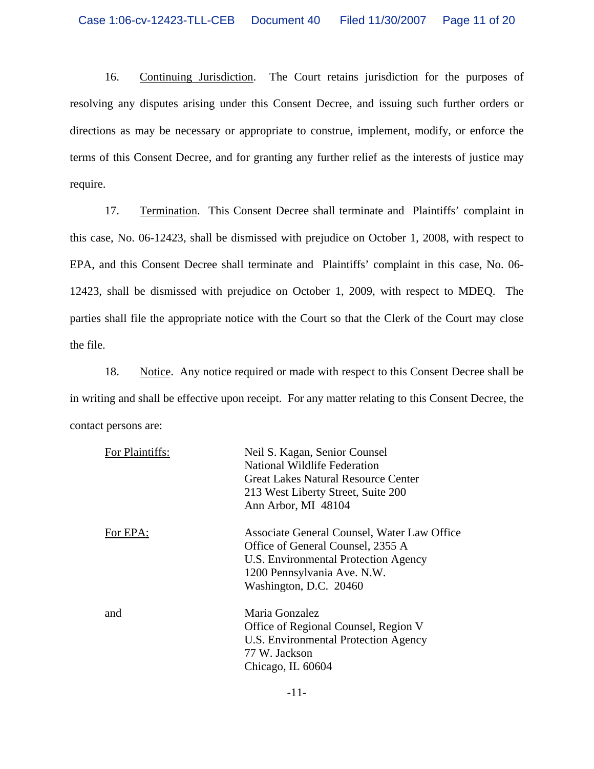16. Continuing Jurisdiction. The Court retains jurisdiction for the purposes of resolving any disputes arising under this Consent Decree, and issuing such further orders or directions as may be necessary or appropriate to construe, implement, modify, or enforce the terms of this Consent Decree, and for granting any further relief as the interests of justice may require.

17. Termination. This Consent Decree shall terminate and Plaintiffs' complaint in this case, No. 06-12423, shall be dismissed with prejudice on October 1, 2008, with respect to EPA, and this Consent Decree shall terminate and Plaintiffs' complaint in this case, No. 06- 12423, shall be dismissed with prejudice on October 1, 2009, with respect to MDEQ. The parties shall file the appropriate notice with the Court so that the Clerk of the Court may close the file.

18. Notice. Any notice required or made with respect to this Consent Decree shall be in writing and shall be effective upon receipt. For any matter relating to this Consent Decree, the contact persons are:

| For Plaintiffs: | Neil S. Kagan, Senior Counsel<br>National Wildlife Federation<br>Great Lakes Natural Resource Center<br>213 West Liberty Street, Suite 200                                                               |
|-----------------|----------------------------------------------------------------------------------------------------------------------------------------------------------------------------------------------------------|
| For EPA:        | Ann Arbor, MI 48104<br>Associate General Counsel, Water Law Office<br>Office of General Counsel, 2355 A<br>U.S. Environmental Protection Agency<br>1200 Pennsylvania Ave. N.W.<br>Washington, D.C. 20460 |
| and             | Maria Gonzalez<br>Office of Regional Counsel, Region V<br>U.S. Environmental Protection Agency<br>77 W. Jackson<br>Chicago, IL 60604                                                                     |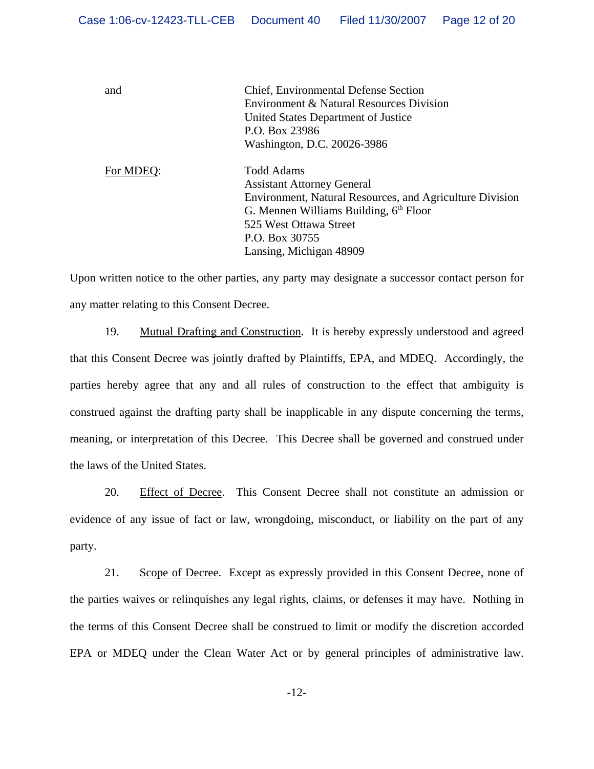and Chief, Environmental Defense Section Environment & Natural Resources Division United States Department of Justice P.O. Box 23986 Washington, D.C. 20026-3986

For MDEQ: Todd Adams Assistant Attorney General Environment, Natural Resources, and Agriculture Division G. Mennen Williams Building,  $6<sup>th</sup>$  Floor 525 West Ottawa Street P.O. Box 30755 Lansing, Michigan 48909

Upon written notice to the other parties, any party may designate a successor contact person for any matter relating to this Consent Decree.

19. Mutual Drafting and Construction. It is hereby expressly understood and agreed that this Consent Decree was jointly drafted by Plaintiffs, EPA, and MDEQ. Accordingly, the parties hereby agree that any and all rules of construction to the effect that ambiguity is construed against the drafting party shall be inapplicable in any dispute concerning the terms, meaning, or interpretation of this Decree. This Decree shall be governed and construed under the laws of the United States.

20. Effect of Decree. This Consent Decree shall not constitute an admission or evidence of any issue of fact or law, wrongdoing, misconduct, or liability on the part of any party.

21. Scope of Decree. Except as expressly provided in this Consent Decree, none of the parties waives or relinquishes any legal rights, claims, or defenses it may have. Nothing in the terms of this Consent Decree shall be construed to limit or modify the discretion accorded EPA or MDEQ under the Clean Water Act or by general principles of administrative law.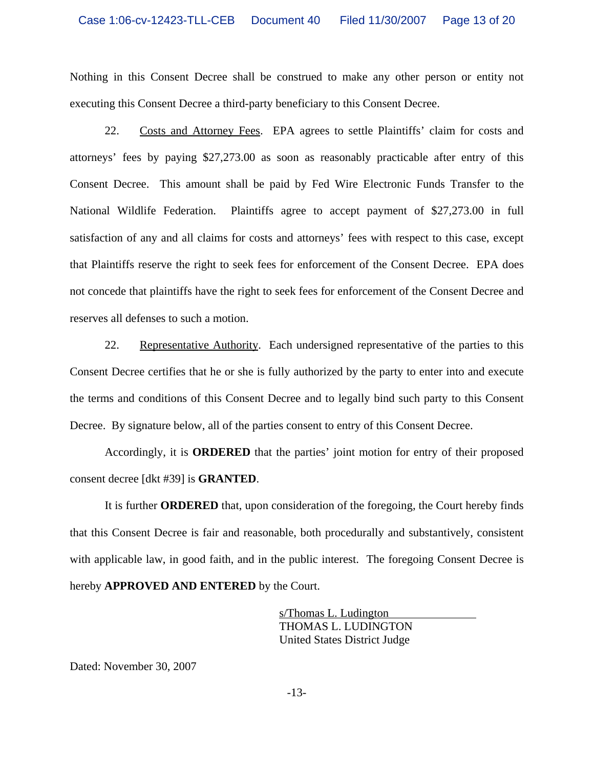Nothing in this Consent Decree shall be construed to make any other person or entity not executing this Consent Decree a third-party beneficiary to this Consent Decree.

22. Costs and Attorney Fees. EPA agrees to settle Plaintiffs' claim for costs and attorneys' fees by paying \$27,273.00 as soon as reasonably practicable after entry of this Consent Decree. This amount shall be paid by Fed Wire Electronic Funds Transfer to the National Wildlife Federation. Plaintiffs agree to accept payment of \$27,273.00 in full satisfaction of any and all claims for costs and attorneys' fees with respect to this case, except that Plaintiffs reserve the right to seek fees for enforcement of the Consent Decree. EPA does not concede that plaintiffs have the right to seek fees for enforcement of the Consent Decree and reserves all defenses to such a motion.

22. Representative Authority. Each undersigned representative of the parties to this Consent Decree certifies that he or she is fully authorized by the party to enter into and execute the terms and conditions of this Consent Decree and to legally bind such party to this Consent Decree. By signature below, all of the parties consent to entry of this Consent Decree.

Accordingly, it is **ORDERED** that the parties' joint motion for entry of their proposed consent decree [dkt #39] is **GRANTED**.

It is further **ORDERED** that, upon consideration of the foregoing, the Court hereby finds that this Consent Decree is fair and reasonable, both procedurally and substantively, consistent with applicable law, in good faith, and in the public interest. The foregoing Consent Decree is hereby **APPROVED AND ENTERED** by the Court.

> s/Thomas L. Ludington THOMAS L. LUDINGTON United States District Judge

Dated: November 30, 2007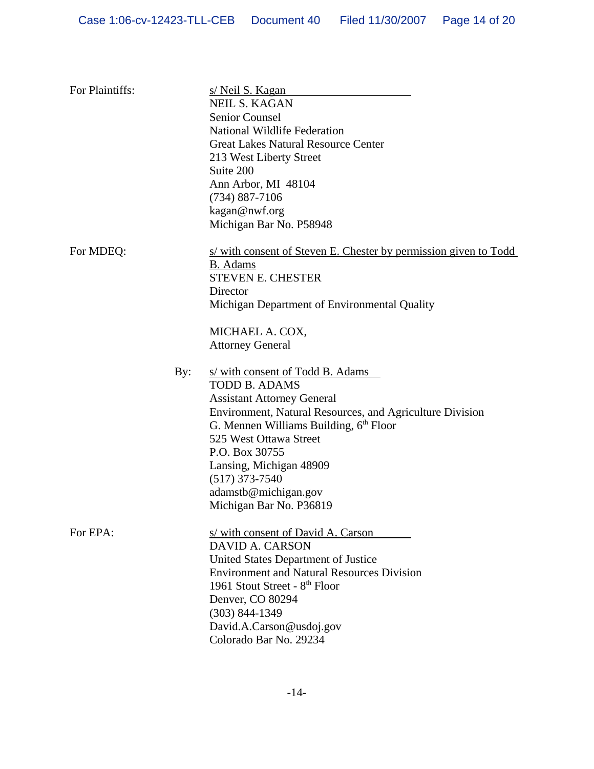| For Plaintiffs: |     | s/Neil S. Kagan<br><b>NEIL S. KAGAN</b><br><b>Senior Counsel</b><br>National Wildlife Federation<br><b>Great Lakes Natural Resource Center</b><br>213 West Liberty Street<br>Suite 200<br>Ann Arbor, MI 48104<br>$(734) 887 - 7106$<br>kagan@nwf.org<br>Michigan Bar No. P58948                                                                               |
|-----------------|-----|---------------------------------------------------------------------------------------------------------------------------------------------------------------------------------------------------------------------------------------------------------------------------------------------------------------------------------------------------------------|
| For MDEQ:       |     | s/ with consent of Steven E. Chester by permission given to Todd<br><b>B.</b> Adams<br><b>STEVEN E. CHESTER</b><br>Director<br>Michigan Department of Environmental Quality<br>MICHAEL A. COX,<br><b>Attorney General</b>                                                                                                                                     |
|                 | By: | s/ with consent of Todd B. Adams<br><b>TODD B. ADAMS</b><br><b>Assistant Attorney General</b><br>Environment, Natural Resources, and Agriculture Division<br>G. Mennen Williams Building, 6 <sup>th</sup> Floor<br>525 West Ottawa Street<br>P.O. Box 30755<br>Lansing, Michigan 48909<br>$(517)$ 373-7540<br>adamstb@michigan.gov<br>Michigan Bar No. P36819 |
| For EPA:        |     | s/ with consent of David A. Carson<br><b>DAVID A. CARSON</b><br>United States Department of Justice<br><b>Environment and Natural Resources Division</b><br>1961 Stout Street - 8th Floor<br>Denver, CO 80294<br>$(303) 844 - 1349$<br>David.A.Carson@usdoj.gov<br>Colorado Bar No. 29234                                                                     |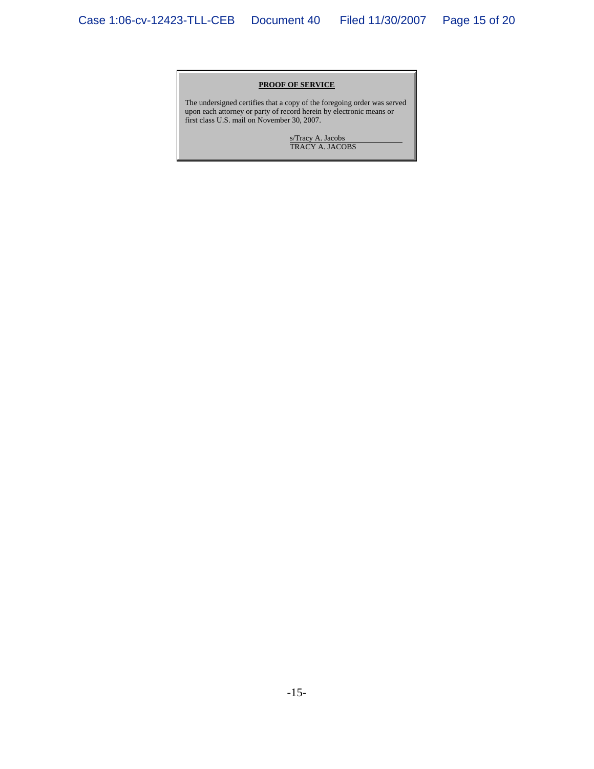#### **PROOF OF SERVICE**

The undersigned certifies that a copy of the foregoing order was served upon each attorney or party of record herein by electronic means or first class U.S. mail on November 30, 2007.

> s/Tracy A. Jacobs TRACY A. JACOBS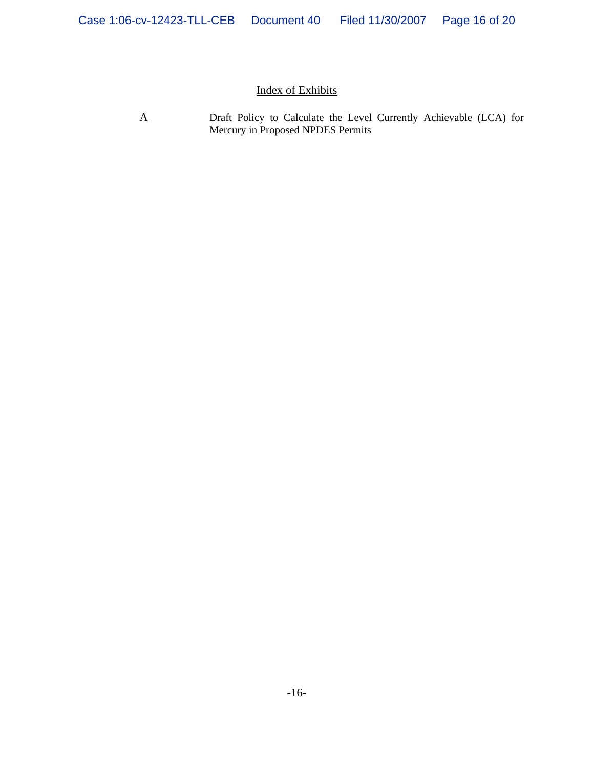# Index of Exhibits

A Draft Policy to Calculate the Level Currently Achievable (LCA) for Mercury in Proposed NPDES Permits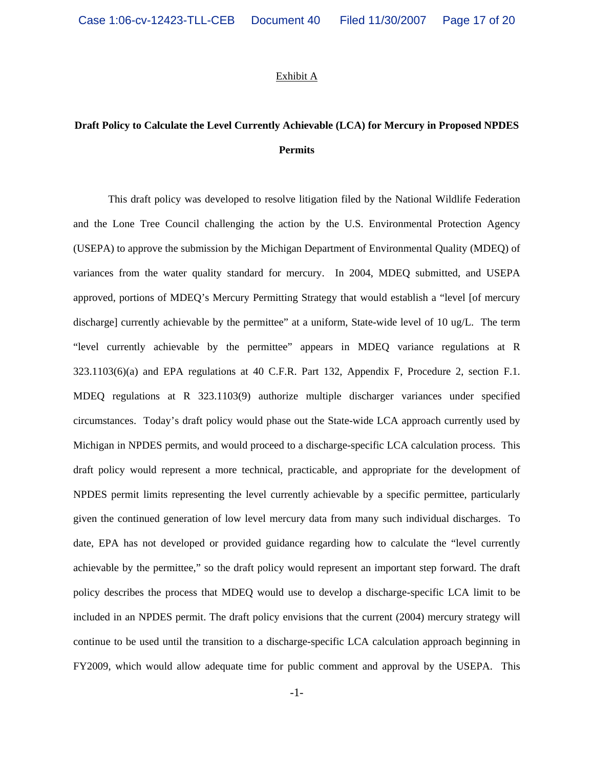### Exhibit A

# **Draft Policy to Calculate the Level Currently Achievable (LCA) for Mercury in Proposed NPDES Permits**

This draft policy was developed to resolve litigation filed by the National Wildlife Federation and the Lone Tree Council challenging the action by the U.S. Environmental Protection Agency (USEPA) to approve the submission by the Michigan Department of Environmental Quality (MDEQ) of variances from the water quality standard for mercury. In 2004, MDEQ submitted, and USEPA approved, portions of MDEQ's Mercury Permitting Strategy that would establish a "level [of mercury discharge] currently achievable by the permittee" at a uniform, State-wide level of 10 ug/L. The term "level currently achievable by the permittee" appears in MDEQ variance regulations at R 323.1103(6)(a) and EPA regulations at 40 C.F.R. Part 132, Appendix F, Procedure 2, section F.1. MDEQ regulations at R 323.1103(9) authorize multiple discharger variances under specified circumstances. Today's draft policy would phase out the State-wide LCA approach currently used by Michigan in NPDES permits, and would proceed to a discharge-specific LCA calculation process. This draft policy would represent a more technical, practicable, and appropriate for the development of NPDES permit limits representing the level currently achievable by a specific permittee, particularly given the continued generation of low level mercury data from many such individual discharges. To date, EPA has not developed or provided guidance regarding how to calculate the "level currently achievable by the permittee," so the draft policy would represent an important step forward. The draft policy describes the process that MDEQ would use to develop a discharge-specific LCA limit to be included in an NPDES permit. The draft policy envisions that the current (2004) mercury strategy will continue to be used until the transition to a discharge-specific LCA calculation approach beginning in FY2009, which would allow adequate time for public comment and approval by the USEPA. This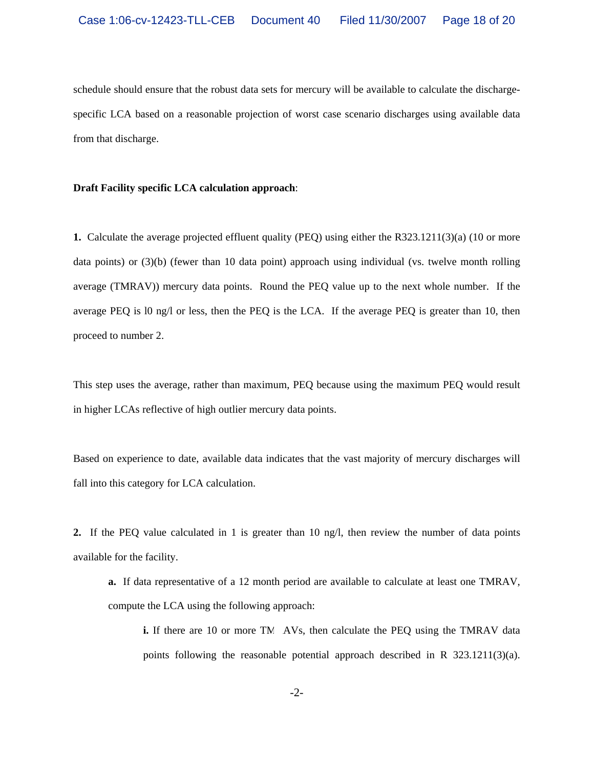schedule should ensure that the robust data sets for mercury will be available to calculate the dischargespecific LCA based on a reasonable projection of worst case scenario discharges using available data from that discharge.

## **Draft Facility specific LCA calculation approach**:

**1.** Calculate the average projected effluent quality (PEQ) using either the R323.1211(3)(a) (10 or more data points) or (3)(b) (fewer than 10 data point) approach using individual (vs. twelve month rolling average (TMRAV)) mercury data points. Round the PEQ value up to the next whole number. If the average PEQ is l0 ng/l or less, then the PEQ is the LCA. If the average PEQ is greater than 10, then proceed to number 2.

This step uses the average, rather than maximum, PEQ because using the maximum PEQ would result in higher LCAs reflective of high outlier mercury data points.

Based on experience to date, available data indicates that the vast majority of mercury discharges will fall into this category for LCA calculation.

**2.** If the PEQ value calculated in 1 is greater than 10 ng/l, then review the number of data points available for the facility.

**a.** If data representative of a 12 month period are available to calculate at least one TMRAV, compute the LCA using the following approach:

**i.** If there are 10 or more TM AVs, then calculate the PEQ using the TMRAV data points following the reasonable potential approach described in R  $323.1211(3)(a)$ .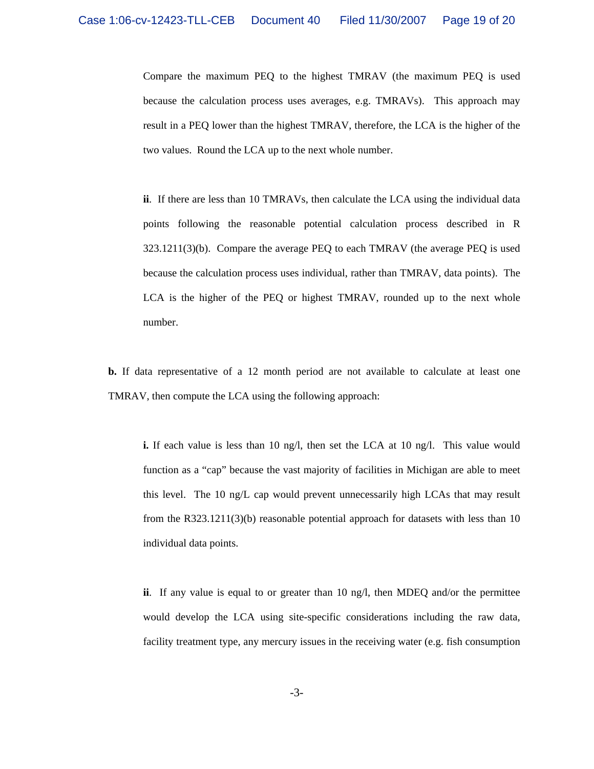Compare the maximum PEQ to the highest TMRAV (the maximum PEQ is used because the calculation process uses averages, e.g. TMRAVs). This approach may result in a PEQ lower than the highest TMRAV, therefore, the LCA is the higher of the two values. Round the LCA up to the next whole number.

**ii**. If there are less than 10 TMRAVs, then calculate the LCA using the individual data points following the reasonable potential calculation process described in R 323.1211(3)(b). Compare the average PEQ to each TMRAV (the average PEQ is used because the calculation process uses individual, rather than TMRAV, data points). The LCA is the higher of the PEQ or highest TMRAV, rounded up to the next whole number.

**b.** If data representative of a 12 month period are not available to calculate at least one TMRAV, then compute the LCA using the following approach:

**i.** If each value is less than 10 ng/l, then set the LCA at 10 ng/l. This value would function as a "cap" because the vast majority of facilities in Michigan are able to meet this level. The 10 ng/L cap would prevent unnecessarily high LCAs that may result from the R323.1211(3)(b) reasonable potential approach for datasets with less than 10 individual data points.

**ii**. If any value is equal to or greater than 10 ng/l, then MDEQ and/or the permittee would develop the LCA using site-specific considerations including the raw data, facility treatment type, any mercury issues in the receiving water (e.g. fish consumption